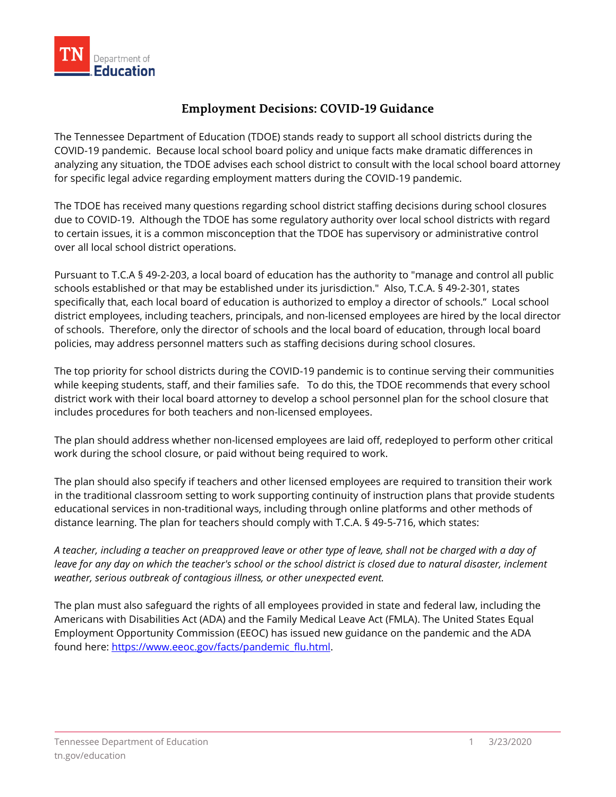## **Employment Decisions: COVID-19 Guidance**

The Tennessee Department of Education (TDOE) stands ready to support all school districts during the COVID-19 pandemic. Because local school board policy and unique facts make dramatic differences in analyzing any situation, the TDOE advises each school district to consult with the local school board attorney for specific legal advice regarding employment matters during the COVID-19 pandemic.

The TDOE has received many questions regarding school district staffing decisions during school closures due to COVID-19. Although the TDOE has some regulatory authority over local school districts with regard to certain issues, it is a common misconception that the TDOE has supervisory or administrative control over all local school district operations.

Pursuant to T.C.A § 49-2-203, a local board of education has the authority to "manage and control all public schools established or that may be established under its jurisdiction." Also, T.C.A. § 49-2-301, states specifically that, each local board of education is authorized to employ a director of schools." Local school district employees, including teachers, principals, and non-licensed employees are hired by the local director of schools. Therefore, only the director of schools and the local board of education, through local board policies, may address personnel matters such as staffing decisions during school closures.

The top priority for school districts during the COVID-19 pandemic is to continue serving their communities while keeping students, staff, and their families safe. To do this, the TDOE recommends that every school district work with their local board attorney to develop a school personnel plan for the school closure that includes procedures for both teachers and non-licensed employees.

The plan should address whether non-licensed employees are laid off, redeployed to perform other critical work during the school closure, or paid without being required to work.

The plan should also specify if teachers and other licensed employees are required to transition their work in the traditional classroom setting to work supporting continuity of instruction plans that provide students educational services in non-traditional ways, including through online platforms and other methods of distance learning. The plan for teachers should comply with T.C.A. § 49-5-716, which states:

*A teacher, including a teacher on preapproved leave or other type of leave, shall not be charged with a day of*  leave for any day on which the teacher's school or the school district is closed due to natural disaster, inclement *weather, serious outbreak of contagious illness, or other unexpected event.*

The plan must also safeguard the rights of all employees provided in state and federal law, including the Americans with Disabilities Act (ADA) and the Family Medical Leave Act (FMLA). The United States Equal Employment Opportunity Commission (EEOC) has issued new guidance on the pandemic and the ADA found here: [https://www.eeoc.gov/facts/pandemic\\_flu.html.](https://www.eeoc.gov/facts/pandemic_flu.html)